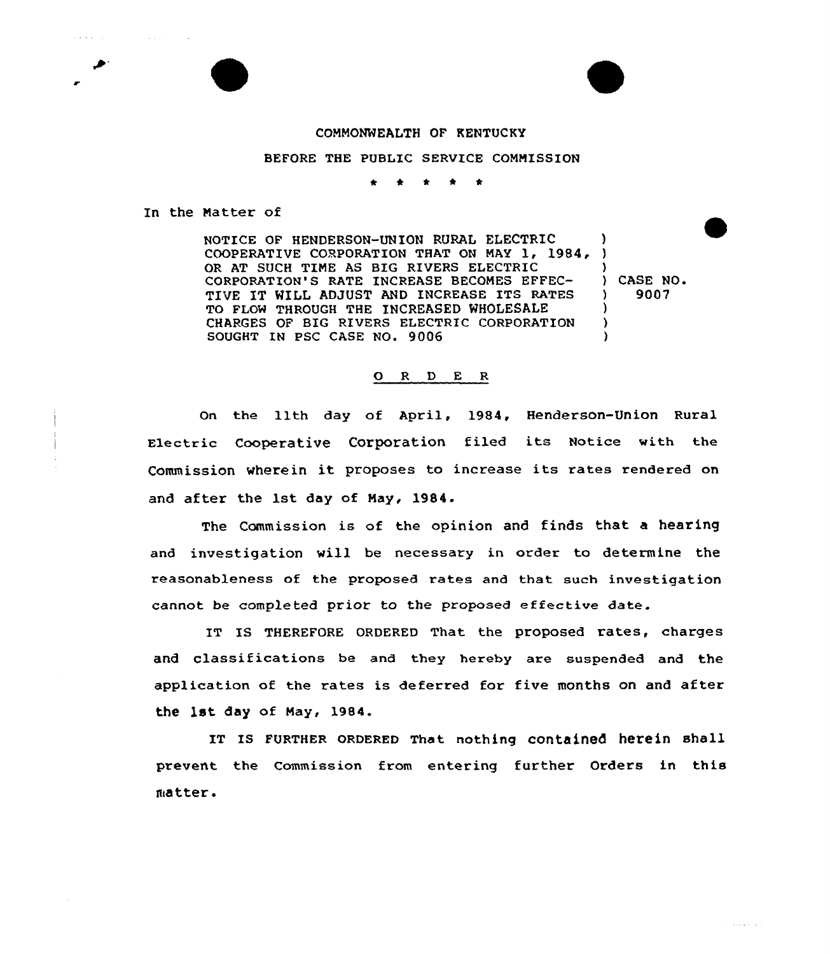## COMMONWEALTH OF KENTUCKY

## BEFORE THE PUBLIC SERVICE COMMISSION

\* \* \* t

In the Natter of

 $\mathcal{L}^{\text{max}}$ 

NOTICE OF HENDERSON-UNION RURAL ELECTRIC COOPERATIVE CORPORATION THAT ON MAY 1, 1984, OR AT SUCH TIME AS BIG RIVERS ELECTRIC CORPORATION'S RATE INCREASE BECOMES EFFEC-TIVE IT WILL ADJUST AND INCREASE ITS RATES TO FLOW THROUGH THE INCREASED WHOLESALE CHARGES OF BIG RIVERS ELECTRIC CORPORATION SOUGHT IN PSC CASE NO. 9006  $\lambda$  $\mathbf{\Sigma}$  $\bigvee$  CASE NO. ) 9007 )  $\lambda$  $\lambda$ 

## ORDER

On the 11th day of April, 1984, Henderson-Union Rural Electric Cooperative Corporation filed its Notice with the Commission wherein it proposes to increase its rates rendered on and after the 1st day of Nay, 1984.

The Commission is of the opinion and finds that a hearing and investigation will be necessary in order to determine the reasonableness of the proposed rates and that such investigation cannot be completed prior to the proposed effective date.

IT IS THEREFORE ORDERED That the proposed rates, charges and classifications be and they hereby are suspended and the application of the rates is deferred for five months on and after the 1st day of Nay, 1984.

IT IS FURTHER ORDERED That nothing contained herein shall prevent the Commission from entering further Orders in this matter.

المواردة للمحادث